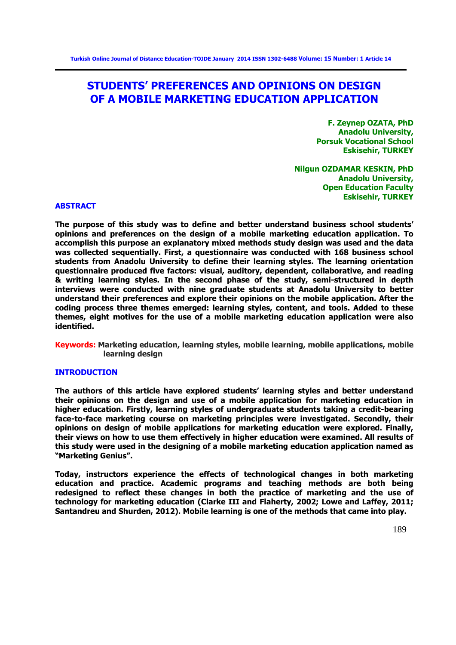# **STUDENTS' PREFERENCES AND OPINIONS ON DESIGN OF A MOBILE MARKETING EDUCATION APPLICATION**

**F. Zeynep OZATA, PhD Anadolu University, Porsuk Vocational School Eskisehir, TURKEY** 

**Nilgun OZDAMAR KESKIN, PhD Anadolu University, Open Education Faculty Eskisehir, TURKEY**

#### **ABSTRACT**

**The purpose of this study was to define and better understand business school students' opinions and preferences on the design of a mobile marketing education application. To accomplish this purpose an explanatory mixed methods study design was used and the data was collected sequentially. First, a questionnaire was conducted with 168 business school students from Anadolu University to define their learning styles. The learning orientation questionnaire produced five factors: visual, auditory, dependent, collaborative, and reading & writing learning styles. In the second phase of the study, semi-structured in depth interviews were conducted with nine graduate students at Anadolu University to better understand their preferences and explore their opinions on the mobile application. After the coding process three themes emerged: learning styles, content, and tools. Added to these themes, eight motives for the use of a mobile marketing education application were also identified.** 

**Keywords: Marketing education, learning styles, mobile learning, mobile applications, mobile learning design** 

## **INTRODUCTION**

**The authors of this article have explored students' learning styles and better understand their opinions on the design and use of a mobile application for marketing education in higher education. Firstly, learning styles of undergraduate students taking a credit-bearing face-to-face marketing course on marketing principles were investigated. Secondly, their opinions on design of mobile applications for marketing education were explored. Finally, their views on how to use them effectively in higher education were examined. All results of this study were used in the designing of a mobile marketing education application named as "Marketing Genius".** 

**Today, instructors experience the effects of technological changes in both marketing education and practice. Academic programs and teaching methods are both being redesigned to reflect these changes in both the practice of marketing and the use of technology for marketing education (Clarke III and Flaherty, 2002; Lowe and Laffey, 2011; Santandreu and Shurden, 2012). Mobile learning is one of the methods that came into play.**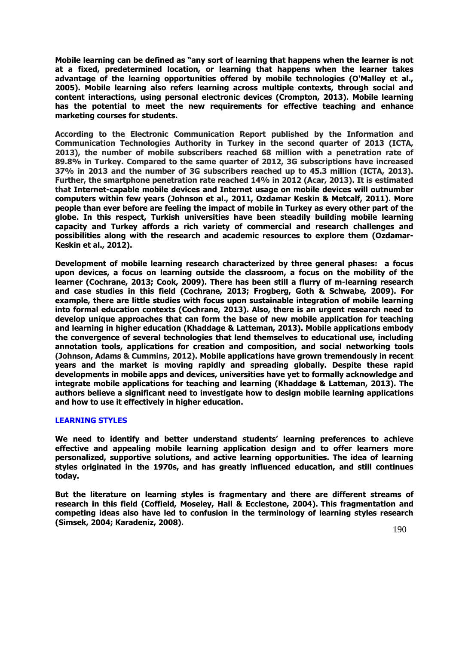**Mobile learning can be defined as "any sort of learning that happens when the learner is not at a fixed, predetermined location, or learning that happens when the learner takes advantage of the learning opportunities offered by mobile technologies (O'Malley et al., 2005). Mobile learning also refers learning across multiple contexts, through social and content interactions, using personal electronic devices (Crompton, 2013). Mobile learning has the potential to meet the new requirements for effective teaching and enhance marketing courses for students.**

**According to the Electronic Communication Report published by the Information and Communication Technologies Authority in Turkey in the second quarter of 2013 (ICTA, 2013), the number of mobile subscribers reached 68 million with a penetration rate of 89.8% in Turkey. Compared to the same quarter of 2012, 3G subscriptions have increased 37% in 2013 and the number of 3G subscribers reached up to 45.3 million (ICTA, 2013). Further, the smartphone penetration rate reached 14% in 2012 (Acar, 2013). It is estimated that Internet-capable mobile devices and Internet usage on mobile devices will outnumber computers within few years (Johnson et al., 2011, Ozdamar Keskin & Metcalf, 2011). More people than ever before are feeling the impact of mobile in Turkey as every other part of the globe. In this respect, Turkish universities have been steadily building mobile learning capacity and Turkey affords a rich variety of commercial and research challenges and possibilities along with the research and academic resources to explore them (Ozdamar-Keskin et al., 2012).** 

**Development of mobile learning research characterized by three general phases: a focus upon devices, a focus on learning outside the classroom, a focus on the mobility of the learner (Cochrane, 2013; Cook, 2009). There has been still a flurry of m-learning research and case studies in this field (Cochrane, 2013; Frogberg, Goth & Schwabe, 2009). For example, there are little studies with focus upon sustainable integration of mobile learning into formal education contexts (Cochrane, 2013). Also, there is an urgent research need to develop unique approaches that can form the base of new mobile application for teaching and learning in higher education (Khaddage & Latteman, 2013). Mobile applications embody the convergence of several technologies that lend themselves to educational use, including annotation tools, applications for creation and composition, and social networking tools (Johnson, Adams & Cummins, 2012). Mobile applications have grown tremendously in recent years and the market is moving rapidly and spreading globally. Despite these rapid developments in mobile apps and devices, universities have yet to formally acknowledge and integrate mobile applications for teaching and learning (Khaddage & Latteman, 2013). The authors believe a significant need to investigate how to design mobile learning applications and how to use it effectively in higher education.** 

## **LEARNING STYLES**

**We need to identify and better understand students' learning preferences to achieve effective and appealing mobile learning application design and to offer learners more personalized, supportive solutions, and active learning opportunities. The idea of learning styles originated in the 1970s, and has greatly influenced education, and still continues today.** 

**But the literature on learning styles is fragmentary and there are different streams of research in this field (Coffield, Moseley, Hall & Ecclestone, 2004). This fragmentation and competing ideas also have led to confusion in the terminology of learning styles research (Simsek, 2004; Karadeniz, 2008).**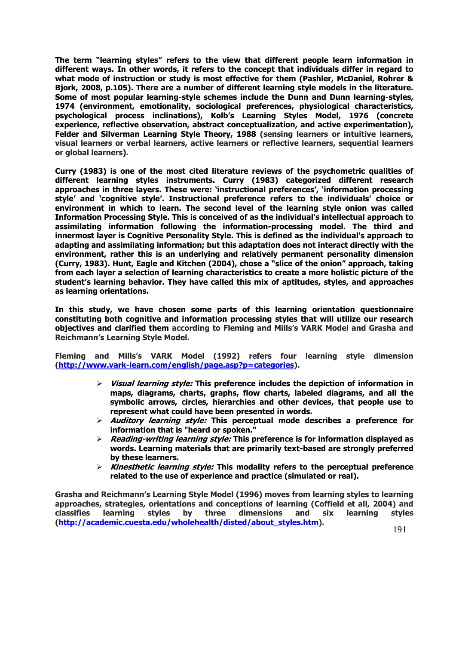**The term "learning styles" refers to the view that different people learn information in different ways. In other words, it refers to the concept that individuals differ in regard to what mode of instruction or study is most effective for them (Pashler, McDaniel, Rohrer & Bjork, 2008, p.105). There are a number of different learning style models in the literature. Some of most popular learning-style schemes include the Dunn and Dunn learning-styles, 1974 (environment, emotionality, sociological preferences, physiological characteristics, psychological process inclinations), Kolb's Learning Styles Model, 1976 (concrete experience, reflective observation, abstract conceptualization, and active experimentation), Felder and Silverman Learning Style Theory, 1988 (sensing learners or intuitive learners, visual learners or verbal learners, active learners or reflective learners, sequential learners or global learners).** 

**Curry (1983) is one of the most cited literature reviews of the psychometric qualities of different learning styles instruments. Curry (1983) categorized different research approaches in three layers. These were: 'instructional preferences', 'information processing style' and 'cognitive style'. Instructional preference refers to the individuals' choice or environment in which to learn. The second level of the learning style onion was called Information Processing Style. This is conceived of as the individual's intellectual approach to assimilating information following the information-processing model. The third and innermost layer is Cognitive Personality Style. This is defined as the individual's approach to adapting and assimilating information; but this adaptation does not interact directly with the environment, rather this is an underlying and relatively permanent personality dimension (Curry, 1983). Hunt, Eagle and Kitchen (2004), chose a "slice of the onion" approach, taking from each layer a selection of learning characteristics to create a more holistic picture of the student's learning behavior. They have called this mix of aptitudes, styles, and approaches as learning orientations.** 

**In this study, we have chosen some parts of this learning orientation questionnaire constituting both cognitive and information processing styles that will utilize our research objectives and clarified them according to Fleming and Mills's VARK Model and Grasha and Reichmann's Learning Style Model.** 

**Fleming and Mills's VARK Model (1992) refers four learning style dimension [\(http://www.vark-learn.com/english/page.asp?p=categories\)](http://www.vark-learn.com/english/page.asp?p=categories).** 

- **Visual learning style: This preference includes the depiction of information in maps, diagrams, charts, graphs, flow charts, labeled diagrams, and all the symbolic arrows, circles, hierarchies and other devices, that people use to represent what could have been presented in words.**
- **Auditory learning style: This perceptual mode describes a preference for information that is "heard or spoken."**
- **Reading-writing learning style: This preference is for information displayed as words. Learning materials that are primarily text-based are strongly preferred by these learners.**
- **Kinesthetic learning style: This modality refers to the perceptual preference related to the use of experience and practice (simulated or real).**

**Grasha and Reichmann's Learning Style Model (1996) moves from learning styles to learning approaches, strategies, orientations and conceptions of learning (Coffield et all, 2004) and classifies learning styles by three dimensions and six learning styles [\(http://academic.cuesta.edu/wholehealth/disted/about\\_styles.htm\)](http://academic.cuesta.edu/wholehealth/disted/about_styles.htm).**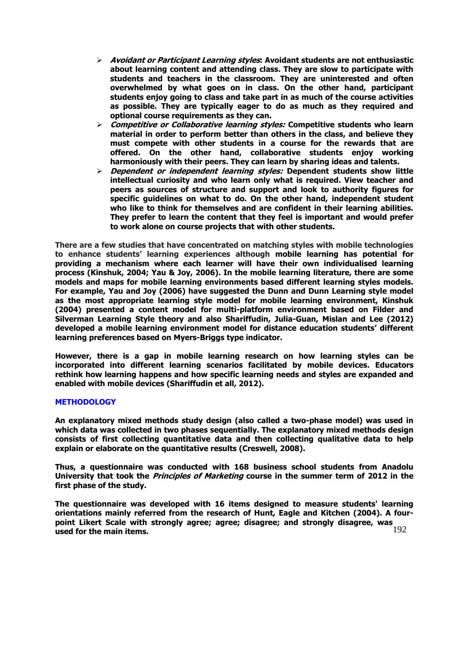- **Avoidant or Participant Learning styles: Avoidant students are not enthusiastic about learning content and attending class. They are slow to participate with students and teachers in the classroom. They are uninterested and often overwhelmed by what goes on in class. On the other hand, participant students enjoy going to class and take part in as much of the course activities as possible. They are typically eager to do as much as they required and optional course requirements as they can.**
- **Competitive or Collaborative learning styles: Competitive students who learn material in order to perform better than others in the class, and believe they must compete with other students in a course for the rewards that are offered. On the other hand, collaborative students enjoy working harmoniously with their peers. They can learn by sharing ideas and talents.**
- **Dependent or independent learning styles: Dependent students show little intellectual curiosity and who learn only what is required. View teacher and peers as sources of structure and support and look to authority figures for specific guidelines on what to do. On the other hand, independent student who like to think for themselves and are confident in their learning abilities. They prefer to learn the content that they feel is important and would prefer to work alone on course projects that with other students.**

**There are a few studies that have concentrated on matching styles with mobile technologies to enhance students' learning experiences although mobile learning has potential for providing a mechanism where each learner will have their own individualised learning process (Kinshuk, 2004; Yau & Joy, 2006). In the mobile learning literature, there are some models and maps for mobile learning environments based different learning styles models. For example, Yau and Joy (2006) have suggested the Dunn and Dunn Learning style model as the most appropriate learning style model for mobile learning environment, Kinshuk (2004) presented a content model for multi-platform environment based on Filder and Silverman Learning Style theory and also Shariffudin, Julia-Guan, Mislan and Lee (2012) developed a mobile learning environment model for distance education students' different learning preferences based on Myers-Briggs type indicator.** 

**However, there is a gap in mobile learning research on how learning styles can be incorporated into different learning scenarios facilitated by mobile devices. Educators rethink how learning happens and how specific learning needs and styles are expanded and enabled with mobile devices (Shariffudin et all, 2012).**

## **METHODOLOGY**

**An explanatory mixed methods study design (also called a two-phase model) was used in which data was collected in two phases sequentially. The explanatory mixed methods design consists of first collecting quantitative data and then collecting qualitative data to help explain or elaborate on the quantitative results (Creswell, 2008).** 

**Thus, a questionnaire was conducted with 168 business school students from Anadolu University that took the Principles of Marketing course in the summer term of 2012 in the first phase of the study.** 

192 **The questionnaire was developed with 16 items designed to measure students' learning orientations mainly referred from the research of Hunt, Eagle and Kitchen (2004). A fourpoint Likert Scale with strongly agree; agree; disagree; and strongly disagree, was used for the main items.**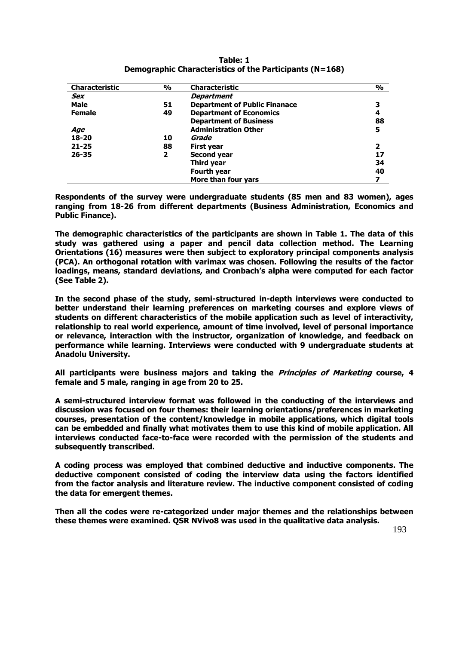| Characteristic      | $\frac{0}{0}$ | Characteristic                       | $\frac{0}{0}$ |
|---------------------|---------------|--------------------------------------|---------------|
| Sex                 |               | <b>Department</b>                    |               |
| <b>Male</b>         | 51            | <b>Department of Public Finanace</b> |               |
| <b>Female</b><br>49 |               | <b>Department of Economics</b>       | 4             |
|                     |               | <b>Department of Business</b>        | 88            |
| Age                 |               | <b>Administration Other</b>          | 5             |
| 18-20               | 10            | Grade                                |               |
| $21 - 25$           | 88            | <b>First year</b>                    |               |
| $26 - 35$           | 2             | Second year                          | 17            |
|                     |               | Third year                           | 34            |
|                     |               | <b>Fourth year</b>                   | 40            |
|                     |               | More than four vars                  |               |

**Table: 1 Demographic Characteristics of the Participants (N=168)**

**Respondents of the survey were undergraduate students (85 men and 83 women), ages ranging from 18-26 from different departments (Business Administration, Economics and Public Finance).** 

**The demographic characteristics of the participants are shown in Table 1. The data of this study was gathered using a paper and pencil data collection method. The Learning Orientations (16) measures were then subject to exploratory principal components analysis (PCA). An orthogonal rotation with varimax was chosen. Following the results of the factor loadings, means, standard deviations, and Cronbach's alpha were computed for each factor (See Table 2).**

**In the second phase of the study, semi-structured in-depth interviews were conducted to better understand their learning preferences on marketing courses and explore views of students on different characteristics of the mobile application such as level of interactivity, relationship to real world experience, amount of time involved, level of personal importance or relevance, interaction with the instructor, organization of knowledge, and feedback on performance while learning. Interviews were conducted with 9 undergraduate students at Anadolu University.** 

**All participants were business majors and taking the Principles of Marketing course, 4 female and 5 male, ranging in age from 20 to 25.** 

**A semi-structured interview format was followed in the conducting of the interviews and discussion was focused on four themes: their learning orientations/preferences in marketing courses, presentation of the content/knowledge in mobile applications, which digital tools can be embedded and finally what motivates them to use this kind of mobile application. All interviews conducted face-to-face were recorded with the permission of the students and subsequently transcribed.** 

**A coding process was employed that combined deductive and inductive components. The deductive component consisted of coding the interview data using the factors identified from the factor analysis and literature review. The inductive component consisted of coding the data for emergent themes.** 

**Then all the codes were re-categorized under major themes and the relationships between these themes were examined. QSR NVivo8 was used in the qualitative data analysis.**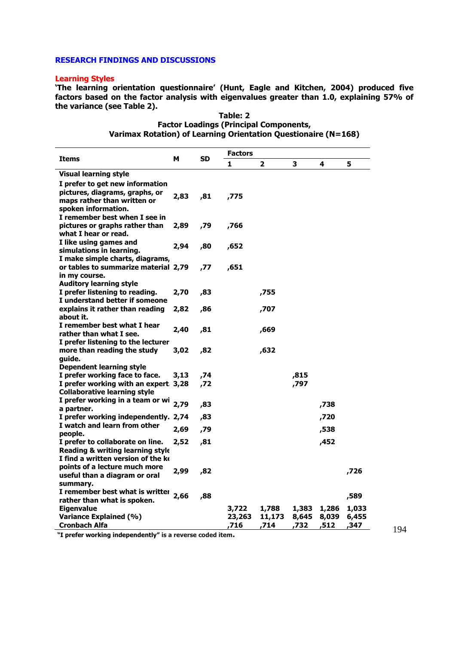# **RESEARCH FINDINGS AND DISCUSSIONS**

#### **Learning Styles**

**'The learning orientation questionnaire' (Hunt, Eagle and Kitchen, 2004) produced five factors based on the factor analysis with eigenvalues greater than 1.0, explaining 57% of the variance (see Table 2).** 

|                                                                                                                                                          |      |           | <b>Factors</b>          |                         |                        |                       |                        |
|----------------------------------------------------------------------------------------------------------------------------------------------------------|------|-----------|-------------------------|-------------------------|------------------------|-----------------------|------------------------|
| <b>Items</b>                                                                                                                                             | м    | <b>SD</b> | 1                       | 2                       | 3                      | 4                     | 5                      |
| <b>Visual learning style</b>                                                                                                                             |      |           |                         |                         |                        |                       |                        |
| I prefer to get new information<br>pictures, diagrams, graphs, or<br>maps rather than written or<br>spoken information.<br>I remember best when I see in | 2,83 | ,81       | ,775                    |                         |                        |                       |                        |
| pictures or graphs rather than<br>what I hear or read.                                                                                                   | 2,89 | ,79       | ,766                    |                         |                        |                       |                        |
| I like using games and<br>simulations in learning.<br>I make simple charts, diagrams,                                                                    | 2,94 | ,80       | ,652                    |                         |                        |                       |                        |
| or tables to summarize material 2,79<br>in my course.                                                                                                    |      | ,77       | ,651                    |                         |                        |                       |                        |
| <b>Auditory learning style</b><br>I prefer listening to reading.<br>I understand better if someone                                                       | 2,70 | ,83       |                         | ,755                    |                        |                       |                        |
| explains it rather than reading<br>about it.                                                                                                             | 2,82 | ,86       |                         | ,707                    |                        |                       |                        |
| I remember best what I hear<br>rather than what I see.<br>I prefer listening to the lecturer                                                             | 2,40 | ,81       |                         | ,669                    |                        |                       |                        |
| more than reading the study<br>quide.                                                                                                                    | 3,02 | ,82       |                         | ,632                    |                        |                       |                        |
| <b>Dependent learning style</b>                                                                                                                          |      |           |                         |                         |                        |                       |                        |
| I prefer working face to face.                                                                                                                           | 3,13 | ,74       |                         |                         | ,815                   |                       |                        |
| I prefer working with an expert. 3,28<br><b>Collaborative learning style</b>                                                                             |      | ,72       |                         |                         | ,797                   |                       |                        |
| I prefer working in a team or wi<br>a partner.                                                                                                           | 2,79 | ,83       |                         |                         |                        | ,738                  |                        |
| I prefer working independently. 2,74                                                                                                                     |      | ,83       |                         |                         |                        | ,720                  |                        |
| I watch and learn from other<br>people.                                                                                                                  | 2,69 | ,79       |                         |                         |                        | ,538                  |                        |
| I prefer to collaborate on line.<br>Reading & writing learning style<br>I find a written version of the ke                                               | 2,52 | ,81       |                         |                         |                        | ,452                  |                        |
| points of a lecture much more<br>useful than a diagram or oral<br>summary.                                                                               | 2,99 | ,82       |                         |                         |                        |                       | ,726                   |
| I remember best what is writter<br>rather than what is spoken.                                                                                           | 2,66 | ,88       |                         |                         |                        |                       | ,589                   |
| <b>Eigenvalue</b><br><b>Variance Explained (%)</b><br><b>Cronbach Alfa</b>                                                                               |      |           | 3,722<br>23,263<br>,716 | 1,788<br>11,173<br>,714 | 1,383<br>8,645<br>,732 | 1,286<br>8,039<br>512 | 1,033<br>6,455<br>,347 |

**Table: 2 Factor Loadings (Principal Components, Varimax Rotation) of Learning Orientation Questionaire (N=168)**

**"I prefer working independently" is a reverse coded item.**

194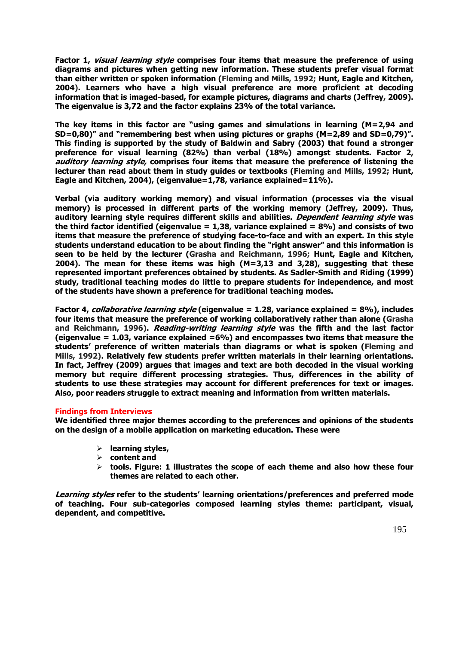**Factor 1, visual learning style comprises four items that measure the preference of using diagrams and pictures when getting new information. These students prefer visual format than either written or spoken information (Fleming and Mills, 1992; Hunt, Eagle and Kitchen, 2004). Learners who have a high visual preference are more proficient at decoding information that is imaged-based, for example pictures, diagrams and charts (Jeffrey, 2009). The eigenvalue is 3,72 and the factor explains 23% of the total variance.**

**The key items in this factor are "using games and simulations in learning (M=2,94 and SD=0,80)" and "remembering best when using pictures or graphs (M=2,89 and SD=0,79)". This finding is supported by the study of Baldwin and Sabry (2003) that found a stronger preference for visual learning (82%) than verbal (18%) amongst students. Factor 2, auditory learning style, comprises four items that measure the preference of listening the lecturer than read about them in study guides or textbooks (Fleming and Mills, 1992; Hunt, Eagle and Kitchen, 2004), (eigenvalue=1,78, variance explained=11%).** 

**Verbal (via auditory working memory) and visual information (processes via the visual memory) is processed in different parts of the working memory (Jeffrey, 2009). Thus, auditory learning style requires different skills and abilities. Dependent learning style was the third factor identified (eigenvalue = 1,38, variance explained = 8%) and consists of two items that measure the preference of studying face-to-face and with an expert. In this style students understand education to be about finding the "right answer" and this information is seen to be held by the lecturer (Grasha and Reichmann, 1996; Hunt, Eagle and Kitchen, 2004). The mean for these items was high (M=3,13 and 3,28), suggesting that these represented important preferences obtained by students. As Sadler-Smith and Riding (1999) study, traditional teaching modes do little to prepare students for independence, and most of the students have shown a preference for traditional teaching modes.**

**Factor 4, collaborative learning style (eigenvalue = 1.28, variance explained = 8%), includes four items that measure the preference of working collaboratively rather than alone (Grasha and Reichmann, 1996). Reading-writing learning style was the fifth and the last factor (eigenvalue = 1.03, variance explained =6%) and encompasses two items that measure the students' preference of written materials than diagrams or what is spoken (Fleming and Mills, 1992). Relatively few students prefer written materials in their learning orientations. In fact, Jeffrey (2009) argues that images and text are both decoded in the visual working memory but require different processing strategies. Thus, differences in the ability of students to use these strategies may account for different preferences for text or images. Also, poor readers struggle to extract meaning and information from written materials.**

# **Findings from Interviews**

**We identified three major themes according to the preferences and opinions of the students on the design of a mobile application on marketing education. These were** 

- **learning styles,**
- **content and**
- **tools. Figure: 1 illustrates the scope of each theme and also how these four themes are related to each other.**

**Learning styles refer to the students' learning orientations/preferences and preferred mode of teaching. Four sub-categories composed learning styles theme: participant, visual, dependent, and competitive.**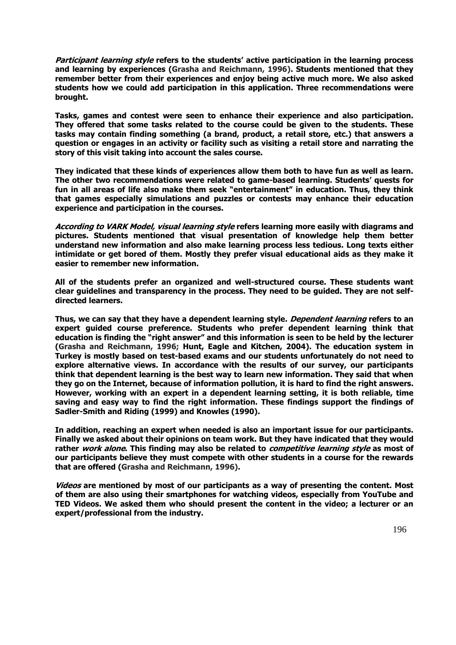**Participant learning style refers to the students' active participation in the learning process and learning by experiences (Grasha and Reichmann, 1996). Students mentioned that they remember better from their experiences and enjoy being active much more. We also asked students how we could add participation in this application. Three recommendations were brought.** 

**Tasks, games and contest were seen to enhance their experience and also participation. They offered that some tasks related to the course could be given to the students. These tasks may contain finding something (a brand, product, a retail store, etc.) that answers a question or engages in an activity or facility such as visiting a retail store and narrating the story of this visit taking into account the sales course.** 

**They indicated that these kinds of experiences allow them both to have fun as well as learn. The other two recommendations were related to game-based learning. Students' quests for fun in all areas of life also make them seek "entertainment" in education. Thus, they think that games especially simulations and puzzles or contests may enhance their education experience and participation in the courses.** 

**According to VARK Model, visual learning style refers learning more easily with diagrams and pictures. Students mentioned that visual presentation of knowledge help them better understand new information and also make learning process less tedious. Long texts either intimidate or get bored of them. Mostly they prefer visual educational aids as they make it easier to remember new information.** 

**All of the students prefer an organized and well-structured course. These students want clear guidelines and transparency in the process. They need to be guided. They are not selfdirected learners.** 

**Thus, we can say that they have a dependent learning style. Dependent learning refers to an expert guided course preference. Students who prefer dependent learning think that education is finding the "right answer" and this information is seen to be held by the lecturer (Grasha and Reichmann, 1996; Hunt, Eagle and Kitchen, 2004). The education system in Turkey is mostly based on test-based exams and our students unfortunately do not need to explore alternative views. In accordance with the results of our survey, our participants think that dependent learning is the best way to learn new information. They said that when they go on the Internet, because of information pollution, it is hard to find the right answers. However, working with an expert in a dependent learning setting, it is both reliable, time saving and easy way to find the right information. These findings support the findings of Sadler-Smith and Riding (1999) and Knowles (1990).** 

**In addition, reaching an expert when needed is also an important issue for our participants. Finally we asked about their opinions on team work. But they have indicated that they would rather work alone. This finding may also be related to competitive learning style as most of our participants believe they must compete with other students in a course for the rewards that are offered (Grasha and Reichmann, 1996).** 

**Videos are mentioned by most of our participants as a way of presenting the content. Most of them are also using their smartphones for watching videos, especially from YouTube and TED Videos. We asked them who should present the content in the video; a lecturer or an expert/professional from the industry.**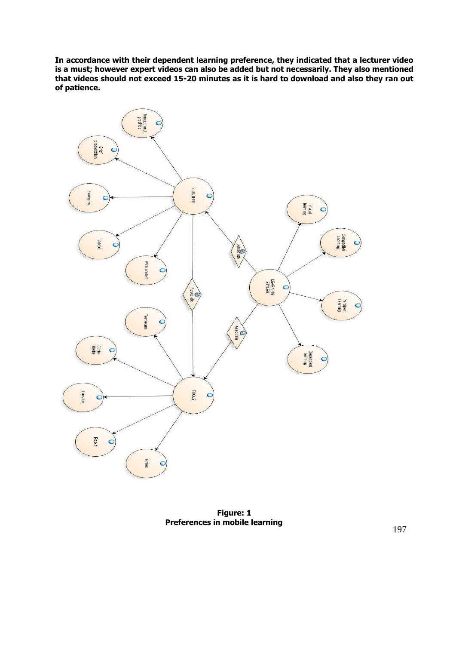**In accordance with their dependent learning preference, they indicated that a lecturer video is a must; however expert videos can also be added but not necessarily. They also mentioned that videos should not exceed 15-20 minutes as it is hard to download and also they ran out of patience.**



**Figure: 1 Preferences in mobile learning**

197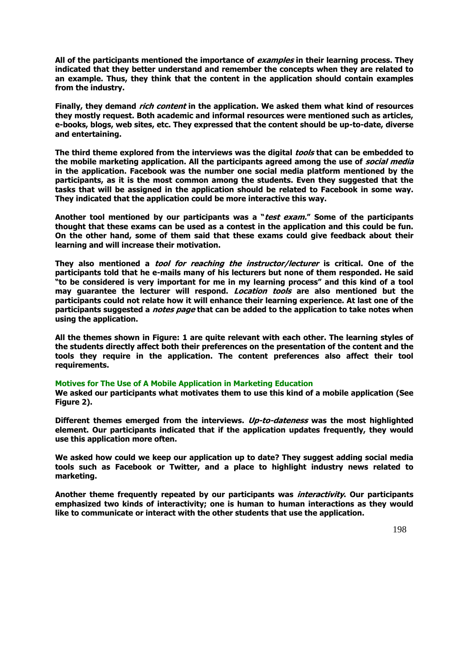**All of the participants mentioned the importance of examples in their learning process. They indicated that they better understand and remember the concepts when they are related to an example. Thus, they think that the content in the application should contain examples from the industry.** 

**Finally, they demand rich content in the application. We asked them what kind of resources they mostly request. Both academic and informal resources were mentioned such as articles, e-books, blogs, web sites, etc. They expressed that the content should be up-to-date, diverse and entertaining.** 

**The third theme explored from the interviews was the digital tools that can be embedded to the mobile marketing application. All the participants agreed among the use of social media in the application. Facebook was the number one social media platform mentioned by the participants, as it is the most common among the students. Even they suggested that the tasks that will be assigned in the application should be related to Facebook in some way. They indicated that the application could be more interactive this way.** 

**Another tool mentioned by our participants was a "test exam." Some of the participants thought that these exams can be used as a contest in the application and this could be fun. On the other hand, some of them said that these exams could give feedback about their learning and will increase their motivation.** 

**They also mentioned a tool for reaching the instructor/lecturer is critical. One of the participants told that he e-mails many of his lecturers but none of them responded. He said "to be considered is very important for me in my learning process" and this kind of a tool may guarantee the lecturer will respond. Location tools are also mentioned but the participants could not relate how it will enhance their learning experience. At last one of the participants suggested a notes page that can be added to the application to take notes when using the application.** 

**All the themes shown in Figure: 1 are quite relevant with each other. The learning styles of the students directly affect both their preferences on the presentation of the content and the tools they require in the application. The content preferences also affect their tool requirements.** 

## **Motives for The Use of A Mobile Application in Marketing Education**

**We asked our participants what motivates them to use this kind of a mobile application (See Figure 2).** 

**Different themes emerged from the interviews. Up-to-dateness was the most highlighted element. Our participants indicated that if the application updates frequently, they would use this application more often.** 

**We asked how could we keep our application up to date? They suggest adding social media tools such as Facebook or Twitter, and a place to highlight industry news related to marketing.** 

**Another theme frequently repeated by our participants was interactivity. Our participants emphasized two kinds of interactivity; one is human to human interactions as they would like to communicate or interact with the other students that use the application.**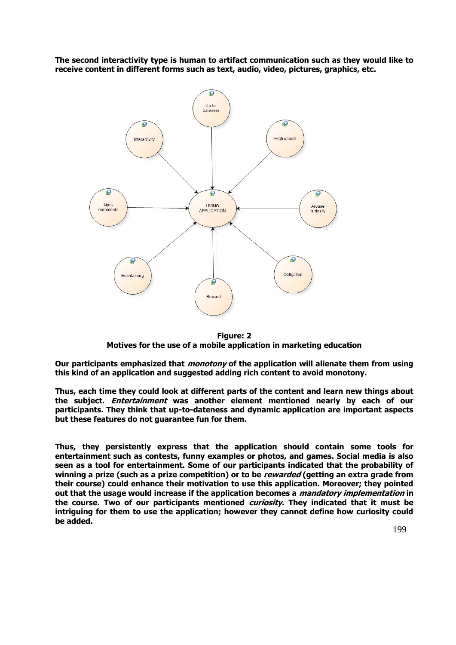**The second interactivity type is human to artifact communication such as they would like to receive content in different forms such as text, audio, video, pictures, graphics, etc.**



**Figure: 2 Motives for the use of a mobile application in marketing education**

**Our participants emphasized that monotony of the application will alienate them from using this kind of an application and suggested adding rich content to avoid monotony.** 

**Thus, each time they could look at different parts of the content and learn new things about the subject. Entertainment was another element mentioned nearly by each of our participants. They think that up-to-dateness and dynamic application are important aspects but these features do not guarantee fun for them.** 

**Thus, they persistently express that the application should contain some tools for entertainment such as contests, funny examples or photos, and games. Social media is also seen as a tool for entertainment. Some of our participants indicated that the probability of winning a prize (such as a prize competition) or to be rewarded (getting an extra grade from their course) could enhance their motivation to use this application. Moreover; they pointed out that the usage would increase if the application becomes a mandatory implementation in the course. Two of our participants mentioned curiosity. They indicated that it must be intriguing for them to use the application; however they cannot define how curiosity could be added.**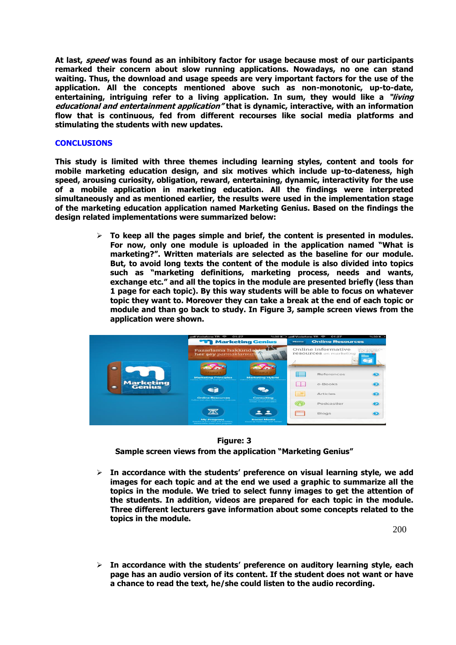**At last, speed was found as an inhibitory factor for usage because most of our participants remarked their concern about slow running applications. Nowadays, no one can stand waiting. Thus, the download and usage speeds are very important factors for the use of the application. All the concepts mentioned above such as non-monotonic, up-to-date, entertaining, intriguing refer to a living application. In sum, they would like a "living educational and entertainment application" that is dynamic, interactive, with an information flow that is continuous, fed from different recourses like social media platforms and stimulating the students with new updates.** 

# **CONCLUSIONS**

**This study is limited with three themes including learning styles, content and tools for mobile marketing education design, and six motives which include up-to-dateness, high speed, arousing curiosity, obligation, reward, entertaining, dynamic, interactivity for the use of a mobile application in marketing education. All the findings were interpreted simultaneously and as mentioned earlier, the results were used in the implementation stage of the marketing education application named Marketing Genius. Based on the findings the design related implementations were summarized below:**

> **To keep all the pages simple and brief, the content is presented in modules. For now, only one module is uploaded in the application named "What is marketing?". Written materials are selected as the baseline for our module. But, to avoid long texts the content of the module is also divided into topics such as "marketing definitions, marketing process, needs and wants, exchange etc." and all the topics in the module are presented briefly (less than 1 page for each topic). By this way students will be able to focus on whatever topic they want to. Moreover they can take a break at the end of each topic or module and than go back to study. In Figure 3, sample screen views from the application were shown.**



## **Figure: 3**

**Sample screen views from the application "Marketing Genius"**

 **In accordance with the students' preference on visual learning style, we add images for each topic and at the end we used a graphic to summarize all the topics in the module. We tried to select funny images to get the attention of the students. In addition, videos are prepared for each topic in the module. Three different lecturers gave information about some concepts related to the topics in the module.** 

200

 **In accordance with the students' preference on auditory learning style, each page has an audio version of its content. If the student does not want or have a chance to read the text, he/she could listen to the audio recording.**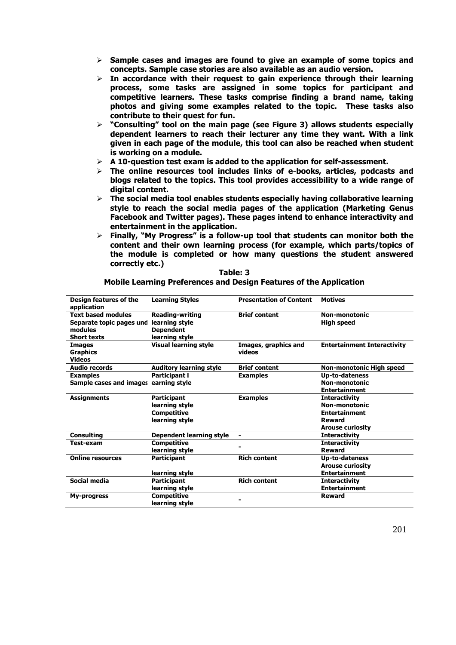- **Sample cases and images are found to give an example of some topics and concepts. Sample case stories are also available as an audio version.**
- **In accordance with their request to gain experience through their learning process, some tasks are assigned in some topics for participant and competitive learners. These tasks comprise finding a brand name, taking photos and giving some examples related to the topic. These tasks also contribute to their quest for fun.**
- **"Consulting" tool on the main page (see Figure 3) allows students especially dependent learners to reach their lecturer any time they want. With a link given in each page of the module, this tool can also be reached when student is working on a module.**
- **A 10-question test exam is added to the application for self-assessment.**
- **The online resources tool includes links of e-books, articles, podcasts and blogs related to the topics. This tool provides accessibility to a wide range of digital content.**
- **The social media tool enables students especially having collaborative learning style to reach the social media pages of the application (Marketing Genus Facebook and Twitter pages). These pages intend to enhance interactivity and entertainment in the application.**
- **Finally, "My Progress" is a follow-up tool that students can monitor both the content and their own learning process (for example, which parts/topics of the module is completed or how many questions the student answered correctly etc.)**

| Design features of the<br>application | <b>Learning Styles</b>          | <b>Presentation of Content</b> | <b>Motives</b>                     |
|---------------------------------------|---------------------------------|--------------------------------|------------------------------------|
| <b>Text based modules</b>             | <b>Reading-writing</b>          | <b>Brief content</b>           | Non-monotonic                      |
| Separate topic pages und              | learning style                  |                                | <b>High speed</b>                  |
| modules                               | <b>Dependent</b>                |                                |                                    |
| <b>Short texts</b>                    | learning style                  |                                |                                    |
| <b>Images</b>                         | <b>Visual learning style</b>    | Images, graphics and           | <b>Entertainment Interactivity</b> |
| <b>Graphics</b>                       |                                 | videos                         |                                    |
| <b>Videos</b>                         |                                 |                                |                                    |
| <b>Audio records</b>                  | <b>Auditory learning style</b>  | <b>Brief content</b>           | Non-monotonic High speed           |
| <b>Examples</b>                       | <b>Participant I</b>            | <b>Examples</b>                | <b>Up-to-dateness</b>              |
| Sample cases and images earning style |                                 |                                | Non-monotonic                      |
|                                       |                                 |                                | <b>Entertainment</b>               |
| <b>Assignments</b>                    | <b>Participant</b>              | <b>Examples</b>                | <b>Interactivity</b>               |
|                                       | learning style                  |                                | Non-monotonic                      |
|                                       | <b>Competitive</b>              |                                | <b>Entertainment</b>               |
|                                       | learning style                  |                                | <b>Reward</b>                      |
|                                       |                                 |                                | <b>Arouse curiosity</b>            |
| <b>Consulting</b>                     | <b>Dependent learning style</b> | $\blacksquare$                 | <b>Interactivity</b>               |
| <b>Test-exam</b>                      | <b>Competitive</b>              |                                | <b>Interactivity</b>               |
|                                       | learning style                  |                                | Reward                             |
| <b>Online resources</b>               | <b>Participant</b>              | <b>Rich content</b>            | Up-to-dateness                     |
|                                       |                                 |                                | <b>Arouse curiosity</b>            |
|                                       | learning style                  |                                | <b>Entertainment</b>               |
| Social media                          | <b>Participant</b>              | <b>Rich content</b>            | <b>Interactivity</b>               |
|                                       | learning style                  |                                | <b>Entertainment</b>               |
| My-progress                           | <b>Competitive</b>              |                                | Reward                             |
|                                       | learning style                  |                                |                                    |

# **Table: 3**

**Mobile Learning Preferences and Design Features of the Application**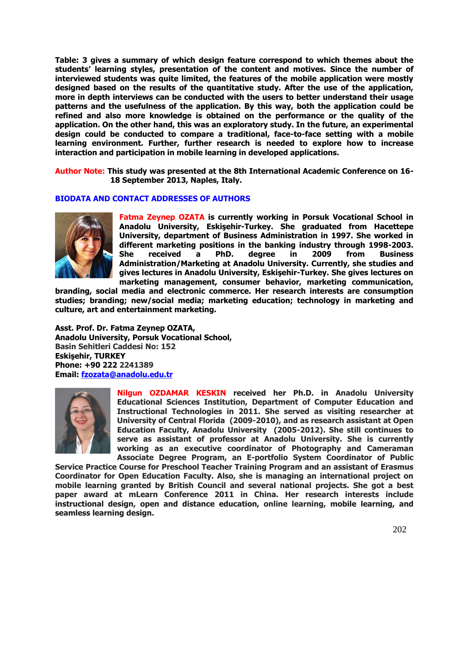**Table: 3 gives a summary of which design feature correspond to which themes about the students' learning styles, presentation of the content and motives. Since the number of interviewed students was quite limited, the features of the mobile application were mostly designed based on the results of the quantitative study. After the use of the application, more in depth interviews can be conducted with the users to better understand their usage patterns and the usefulness of the application. By this way, both the application could be refined and also more knowledge is obtained on the performance or the quality of the application. On the other hand, this was an exploratory study. In the future, an experimental design could be conducted to compare a traditional, face-to-face setting with a mobile learning environment. Further, further research is needed to explore how to increase interaction and participation in mobile learning in developed applications.**

**Author Note: This study was presented at the 8th International Academic Conference on 16- 18 September 2013, Naples, Italy.**

## **BIODATA AND CONTACT ADDRESSES OF AUTHORS**



**Fatma Zeynep OZATA is currently working in Porsuk Vocational School in Anadolu University, Eskişehir-Turkey. She graduated from Hacettepe University, department of Business Administration in 1997. She worked in different marketing positions in the banking industry through 1998-2003. She received a PhD. degree in 2009 from Business Administration/Marketing at Anadolu University. Currently, she studies and gives lectures in Anadolu University, Eskişehir-Turkey. She gives lectures on marketing management, consumer behavior, marketing communication,** 

**branding, social media and electronic commerce. Her research interests are consumption studies; branding; new/social media; marketing education; technology in marketing and culture, art and entertainment marketing.** 

**Asst. Prof. Dr. Fatma Zeynep OZATA, Anadolu University, Porsuk Vocational School, Basin Sehitleri Caddesi No: 152 Eskişehir, TURKEY Phone: +90 222 2241389 Email: [fzozata@anadolu.edu.tr](mailto:fzozata@anadolu.edu.tr)**



**Nilgun OZDAMAR KESKIN received her Ph.D. in Anadolu University Educational Sciences Institution, Department of Computer Education and Instructional Technologies in 2011. She served as visiting researcher at University of Central Florida (2009-2010), and as research assistant at Open Education Faculty, Anadolu University (2005-2012). She still continues to serve as assistant of professor at Anadolu University. She is currently working as an executive coordinator of Photography and Cameraman Associate Degree Program, an E-portfolio System Coordinator of Public** 

**Service Practice Course for Preschool Teacher Training Program and an assistant of Erasmus Coordinator for Open Education Faculty. Also, she is managing an international project on mobile learning granted by British Council and several national projects. She got a best paper award at mLearn Conference 2011 in China. Her research interests include instructional design, open and distance education, online learning, mobile learning, and seamless learning design.**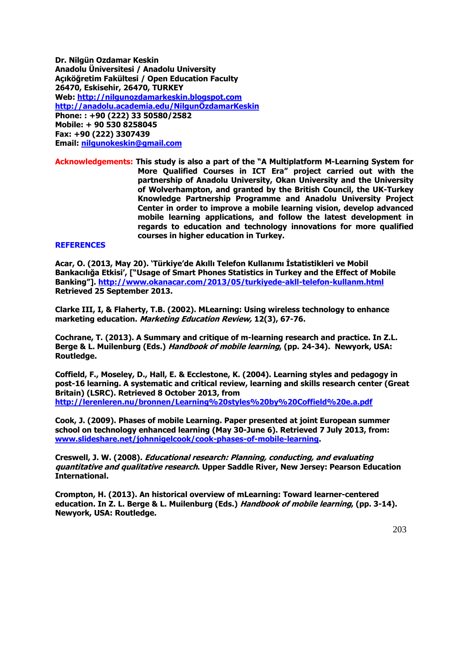**Dr. Nilgün Ozdamar Keskin Anadolu Üniversitesi / Anadolu University Açıköğretim Fakültesi / Open Education Faculty 26470, Eskisehir, 26470, TURKEY Web: [http://nilgunozdamarkeskin.blogspot.com](http://nilgunozdamarkeskin.blogspot.com/) http://ana[dolu.academia.edu/NilgunÖzdamarKeskin](http://anadolu.academia.edu/NilgunÖzdamarKeskin) Phone: : +90 (222) 33 50580/2582 Mobile: + 90 530 8258045 Fax: +90 (222) 3307439 Email: [nilgunokeskin@gmail.com](mailto:nilgunokeskin@gmail.com)**

**Acknowledgements: This study is also a part of the "A Multiplatform M-Learning System for More Qualified Courses in ICT Era" project carried out with the partnership of Anadolu University, Okan University and the University of Wolverhampton, and granted by the British Council, the UK-Turkey Knowledge Partnership Programme and Anadolu University Project Center in order to improve a mobile learning vision, develop advanced mobile learning applications, and follow the latest development in regards to education and technology innovations for more qualified courses in higher education in Turkey.**

## **REFERENCES**

**Acar, O. (2013, May 20). 'Türkiye'de Akıllı Telefon Kullanımı İstatistikleri ve Mobil Bankacılığa Etkisi', ["Usage of Smart Phones Statistics in Turkey and the Effect of Mobile Banking"]. <http://www.okanacar.com/2013/05/turkiyede-akll-telefon-kullanm.html> Retrieved 25 September 2013.**

**Clarke III, I, & Flaherty, T.B. (2002). MLearning: Using wireless technology to enhance marketing education. Marketing Education Review, 12(3), 67-76.**

**Cochrane, T. (2013). A Summary and critique of m-learning research and practice. In Z.L. Berge & L. Muilenburg (Eds.) Handbook of mobile learning, (pp. 24-34). Newyork, USA: Routledge.**

**Coffield, F., Moseley, D., Hall, E. & Ecclestone, K. (2004). Learning styles and pedagogy in post-16 learning. A systematic and critical review, [learning and skills research center \(Great](http://www.voced.edu.au/search/apachesolr_search/?filters=all_corpauthors%3A%22Learning+and+Skills+Research+Centre+%28Great+Britain%29+%28LSRC%29%22)  [Britain\) \(LSRC\).](http://www.voced.edu.au/search/apachesolr_search/?filters=all_corpauthors%3A%22Learning+and+Skills+Research+Centre+%28Great+Britain%29+%28LSRC%29%22) Retrieved 8 October 2013, from <http://lerenleren.nu/bronnen/Learning%20styles%20by%20Coffield%20e.a.pdf>**

**Cook, J. (2009). Phases of mobile Learning. Paper presented at joint European summer school on technology enhanced learning (May 30-June 6). Retrieved 7 July 2013, from: [www.slideshare.net/johnnigelcook/cook-phases-of-mobile-learning.](http://www.slideshare.net/johnnigelcook/cook-phases-of-mobile-learning)** 

**Creswell, J. W. (2008). Educational research: Planning, conducting, and evaluating quantitative and qualitative research. Upper Saddle River, New Jersey: Pearson Education International.**

**Crompton, H. (2013). An historical overview of mLearning: Toward learner-centered education. In Z. L. Berge & L. Muilenburg (Eds.) Handbook of mobile learning, (pp. 3-14). Newyork, USA: Routledge.**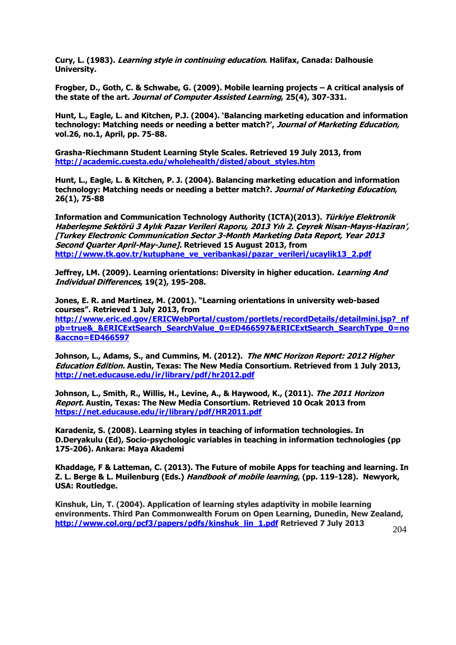**Cury, L. (1983). Learning style in continuing education. Halifax, Canada: Dalhousie University.** 

**Frogber, D., Goth, C. & Schwabe, G. (2009). Mobile learning projects – A critical analysis of the state of the art. Journal of Computer Assisted Learning, 25(4), 307-331.** 

**Hunt, L., Eagle, L. and Kitchen, P.J. (2004). 'Balancing marketing education and information technology: Matching needs or needing a better match?', Journal of Marketing Education, vol.26, no.1, April, pp. 75-88.**

**Grasha-Riechmann Student Learning Style Scales. Retrieved 19 July 2013, from [http://academic.cuesta.edu/wholehealth/disted/about\\_styles.htm](http://academic.cuesta.edu/wholehealth/disted/about_styles.htm)**

**Hunt, L., Eagle, L. & Kitchen, P. J. (2004). Balancing marketing education and information technology: Matching needs or needing a better match?. Journal of Marketing Education, 26(1), 75-88** 

**Information and Communication Technology Authority (ICTA)(2013). Türkiye Elektronik Haberleşme Sektörü 3 Aylık Pazar Verileri Raporu, 2013 Yılı 2. Çeyrek Nisan-Mayıs-Haziran', [Turkey Electronic Communication Sector 3-Month Marketing Data Report, Year 2013 Second Quarter April-May-June]. Retrieved 15 August 2013, from [http://www.tk.gov.tr/kutuphane\\_ve\\_veribankasi/pazar\\_verileri/ucaylik13\\_2.pdf](http://www.tk.gov.tr/kutuphane_ve_veribankasi/pazar_verileri/ucaylik13_2.pdf)**

**Jeffrey, LM. (2009). Learning orientations: Diversity in higher education. Learning And Individual Differences, 19(2), 195-208.**

**Jones, E. R. and Martinez, M. (2001). "Learning orientations in university web-based courses". Retrieved 1 July 2013, from [http://www.eric.ed.gov/ERICWebPortal/custom/portlets/recordDetails/detailmini.jsp?\\_nf](http://www.eric.ed.gov/ERICWebPortal/custom/portlets/recordDetails/detailmini.jsp?_nfpb=true&_&ERICExtSearch_SearchValue_0=ED466597&ERICExtSearch_SearchType_0=no&accno=ED466597) [pb=true&\\_&ERICExtSearch\\_SearchValue\\_0=ED466597&ERICExtSearch\\_SearchType\\_0=no](http://www.eric.ed.gov/ERICWebPortal/custom/portlets/recordDetails/detailmini.jsp?_nfpb=true&_&ERICExtSearch_SearchValue_0=ED466597&ERICExtSearch_SearchType_0=no&accno=ED466597) [&accno=ED466597](http://www.eric.ed.gov/ERICWebPortal/custom/portlets/recordDetails/detailmini.jsp?_nfpb=true&_&ERICExtSearch_SearchValue_0=ED466597&ERICExtSearch_SearchType_0=no&accno=ED466597)**

**Johnson, L., Adams, S., and Cummins, M. (2012). The NMC Horizon Report: 2012 Higher Education Edition. Austin, Texas: The New Media Consortium. Retrieved from 1 July 2013, <http://net.educause.edu/ir/library/pdf/hr2012.pdf>**

**Johnson, L., Smith, R., Willis, H., Levine, A., & Haywood, K., (2011). The 2011 Horizon Report. Austin, Texas: The New Media Consortium. Retrieved 10 Ocak 2013 from <https://net.educause.edu/ir/library/pdf/HR2011.pdf>**

**Karadeniz, S. (2008). Learning styles in teaching of information technologies. In D.Deryakulu (Ed), Socio-psychologic variables in teaching in information technologies (pp 175-206). Ankara: Maya Akademi** 

**Khaddage, F & Latteman, C. (2013). The Future of mobile Apps for teaching and learning. In Z. L. Berge & L. Muilenburg (Eds.) Handbook of mobile learning, (pp. 119-128). Newyork, USA: Routledge.**

**Kinshuk, Lin, T. (2004). Application of learning styles adaptivity in mobile learning environments. Third Pan Commonwealth Forum on Open Learning, Dunedin, New Zealand, [http://www.col.org/pcf3/papers/pdfs/kinshuk\\_lin\\_1.pdf](http://www.col.org/pcf3/papers/pdfs/kinshuk_lin_1.pdf) Retrieved 7 July 2013**

204